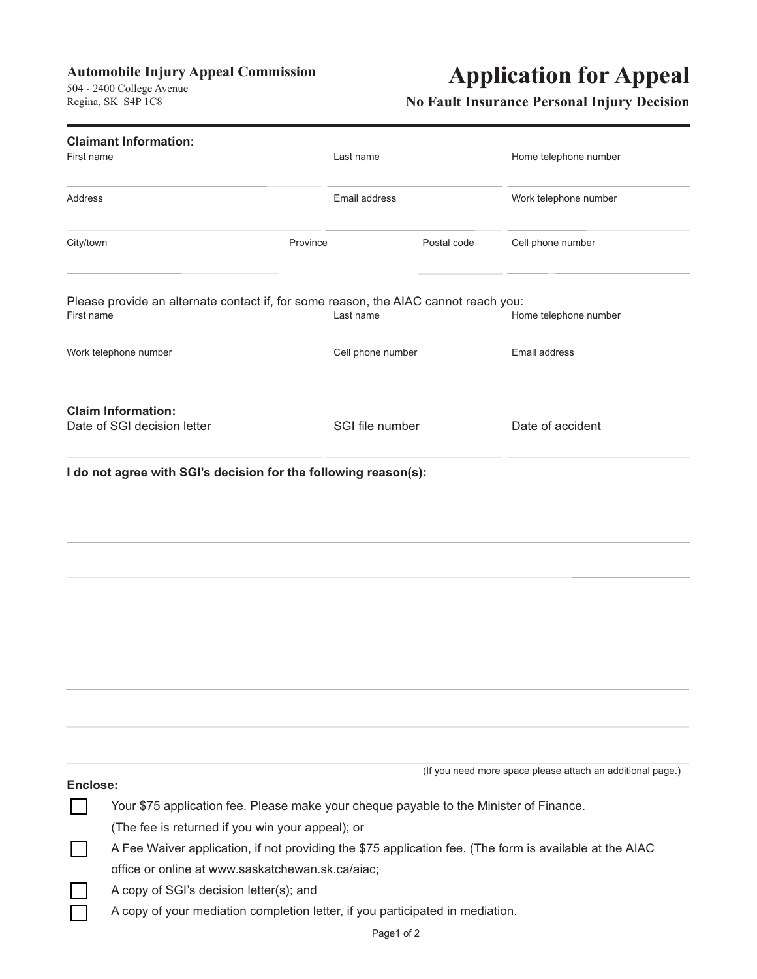### **Automobile Injury Appeal Commission**

 $R$ egina SK S4P  $1C8$  $R_{\text{S}}$ 

# **Application for Appeal**

### **No Fault Insurance Personal Injury Decision**

|            | <b>Claimant Information:</b>                                                                            |                   |             |                                                            |  |  |
|------------|---------------------------------------------------------------------------------------------------------|-------------------|-------------|------------------------------------------------------------|--|--|
| First name |                                                                                                         | Last name         |             | Home telephone number                                      |  |  |
| Address    |                                                                                                         | Email address     |             | Work telephone number                                      |  |  |
| City/town  | Province                                                                                                |                   | Postal code | Cell phone number                                          |  |  |
| First name | Please provide an alternate contact if, for some reason, the AIAC cannot reach you:                     | Last name         |             | Home telephone number                                      |  |  |
|            | Work telephone number                                                                                   | Cell phone number |             | Email address                                              |  |  |
|            | <b>Claim Information:</b><br>Date of SGI decision letter                                                | SGI file number   |             | Date of accident                                           |  |  |
|            | I do not agree with SGI's decision for the following reason(s):                                         |                   |             |                                                            |  |  |
|            |                                                                                                         |                   |             |                                                            |  |  |
|            |                                                                                                         |                   |             |                                                            |  |  |
|            |                                                                                                         |                   |             |                                                            |  |  |
|            |                                                                                                         |                   |             |                                                            |  |  |
|            |                                                                                                         |                   |             |                                                            |  |  |
| Enclose:   |                                                                                                         |                   |             | (If you need more space please attach an additional page.) |  |  |
|            | Your \$75 application fee. Please make your cheque payable to the Minister of Finance.                  |                   |             |                                                            |  |  |
|            | (The fee is returned if you win your appeal); or                                                        |                   |             |                                                            |  |  |
|            | A Fee Waiver application, if not providing the \$75 application fee. (The form is available at the AIAC |                   |             |                                                            |  |  |
|            | office or online at www.saskatchewan.sk.ca/aiac;                                                        |                   |             |                                                            |  |  |
|            | A copy of SGI's decision letter(s); and                                                                 |                   |             |                                                            |  |  |
|            | A copy of your mediation completion letter, if you participated in mediation.                           |                   |             |                                                            |  |  |
|            |                                                                                                         |                   | Page1 of 2  |                                                            |  |  |
|            |                                                                                                         |                   |             |                                                            |  |  |